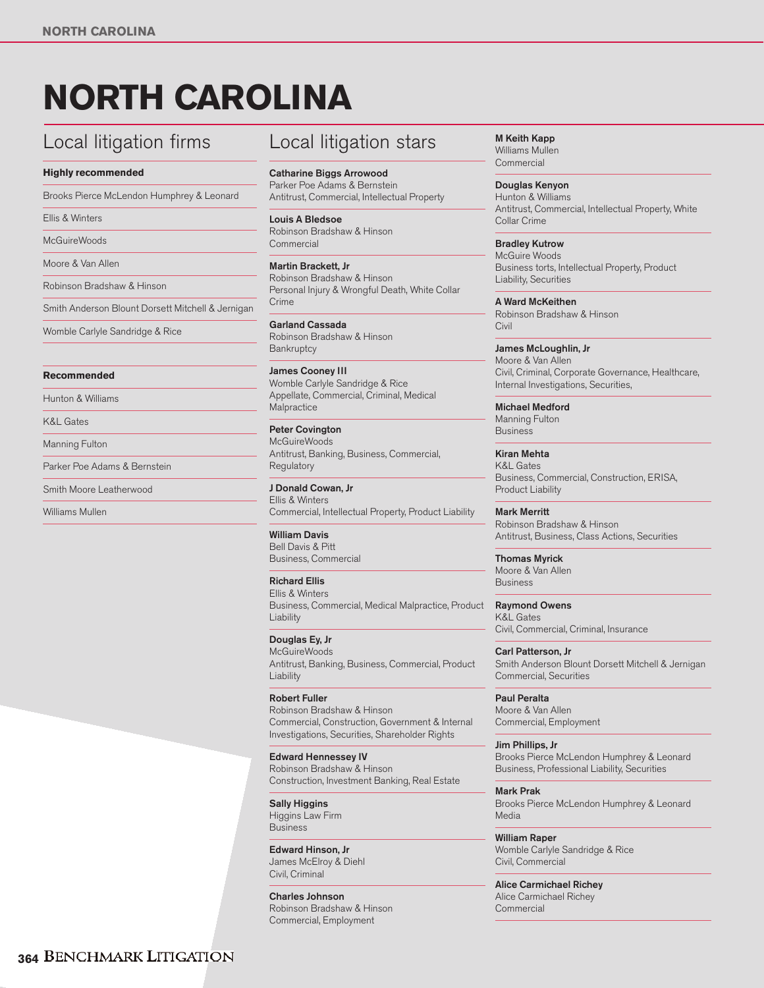# **NORTH CAROLINA**

## Local litigation firms

#### **Highly recommended**

Brooks Pierce McLendon Humphrey & Leonard

Ellis & Winters

**McGuireWoods** 

Moore & Van Allen

Robinson Bradshaw & Hinson

Smith Anderson Blount Dorsett Mitchell & Jernigan

Womble Carlyle Sandridge & Rice

#### **Recommended**

Hunton & Williams

K&L Gates

Manning Fulton

Parker Poe Adams & Bernstein

Smith Moore Leatherwood

Williams Mullen

### Local litigation stars

**Catharine Biggs Arrowood** Parker Poe Adams & Bernstein Antitrust, Commercial, Intellectual Property

**Louis A Bledsoe** Robinson Bradshaw & Hinson **Commercial** 

**Martin Brackett, Jr** Robinson Bradshaw & Hinson Personal Injury & Wrongful Death, White Collar Crime

**Garland Cassada** Robinson Bradshaw & Hinson **Bankruptcy** 

**James Cooney III** Womble Carlyle Sandridge & Rice Appellate, Commercial, Criminal, Medical **Malpractice** 

**Peter Covington McGuireWoods** Antitrust, Banking, Business, Commercial, **Regulatory** 

**J Donald Cowan, Jr** Ellis & Winters Commercial, Intellectual Property, Product Liability

**William Davis** Bell Davis & Pitt Business, Commercial

**Richard Ellis** Ellis & Winters Business, Commercial, Medical Malpractice, Product Liability

**Douglas Ey, Jr McGuireWoods** Antitrust, Banking, Business, Commercial, Product Liability

**Robert Fuller** Robinson Bradshaw & Hinson Commercial, Construction, Government & Internal Investigations, Securities, Shareholder Rights

**Edward Hennessey IV** Robinson Bradshaw & Hinson Construction, Investment Banking, Real Estate

**Sally Higgins** Higgins Law Firm Business

**Edward Hinson, Jr** James McElroy & Diehl Civil, Criminal

**Charles Johnson** Robinson Bradshaw & Hinson Commercial, Employment

**M Keith Kapp** Williams Mullen **Commercial** 

**Douglas Kenyon** Hunton & Williams Antitrust, Commercial, Intellectual Property, White Collar Crime

**Bradley Kutrow**  McGuire Woods Business torts, Intellectual Property, Product Liability, Securities

**A Ward McKeithen** Robinson Bradshaw & Hinson Civil

**James McLoughlin, Jr** Moore & Van Allen Civil, Criminal, Corporate Governance, Healthcare, Internal Investigations, Securities,

**Michael Medford** Manning Fulton Business

**Kiran Mehta** K&L Gates Business, Commercial, Construction, ERISA, Product Liability

**Mark Merritt** Robinson Bradshaw & Hinson Antitrust, Business, Class Actions, Securities

**Thomas Myrick** Moore & Van Allen Business

**Raymond Owens** K&L Gates Civil, Commercial, Criminal, Insurance

**Carl Patterson, Jr** Smith Anderson Blount Dorsett Mitchell & Jernigan Commercial, Securities

**Paul Peralta** Moore & Van Allen Commercial, Employment

**Jim Phillips, Jr** Brooks Pierce McLendon Humphrey & Leonard Business, Professional Liability, Securities

**Mark Prak** Brooks Pierce McLendon Humphrey & Leonard Media

**William Raper** Womble Carlyle Sandridge & Rice Civil, Commercial

**Alice Carmichael Richey** Alice Carmichael Richey **Commercial**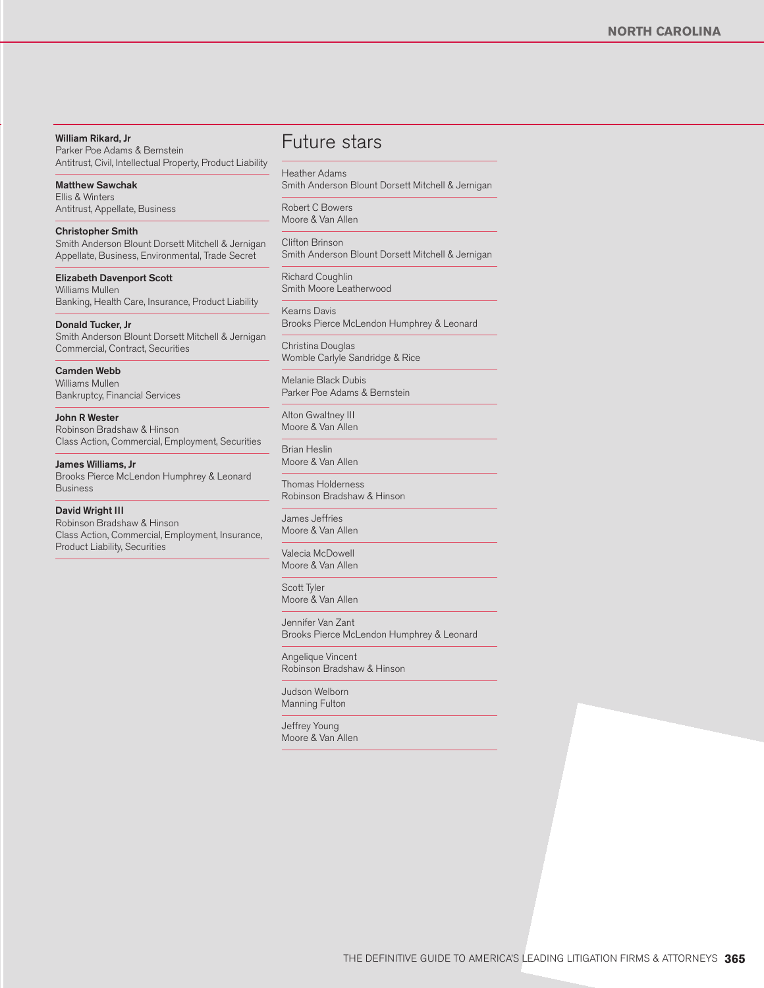#### **William Rikard, Jr**

Parker Poe Adams & Bernstein Antitrust, Civil, Intellectual Property, Product Liability

**Matthew Sawchak** Ellis & Winters Antitrust, Appellate, Business

**Christopher Smith** Smith Anderson Blount Dorsett Mitchell & Jernigan Appellate, Business, Environmental, Trade Secret

**Elizabeth Davenport Scott** Williams Mullen Banking, Health Care, Insurance, Product Liability

**Donald Tucker, Jr** Smith Anderson Blount Dorsett Mitchell & Jernigan Commercial, Contract, Securities

**Camden Webb** Williams Mullen Bankruptcy, Financial Services

**John R Wester** Robinson Bradshaw & Hinson Class Action, Commercial, Employment, Securities

**James Williams, Jr** Brooks Pierce McLendon Humphrey & Leonard Business

**David Wright III** Robinson Bradshaw & Hinson Class Action, Commercial, Employment, Insurance, Product Liability, Securities

Future stars

Heather Adams Smith Anderson Blount Dorsett Mitchell & Jernigan

Robert C Bowers Moore & Van Allen

Clifton Brinson Smith Anderson Blount Dorsett Mitchell & Jernigan

Richard Coughlin Smith Moore Leatherwood

Kearns Davis Brooks Pierce McLendon Humphrey & Leonard

Christina Douglas Womble Carlyle Sandridge & Rice

Melanie Black Dubis Parker Poe Adams & Bernstein

Alton Gwaltney III Moore & Van Allen

Brian Heslin Moore & Van Allen

Thomas Holderness Robinson Bradshaw & Hinson

James Jeffries Moore & Van Allen

Valecia McDowell Moore & Van Allen

Scott Tyler Moore & Van Allen

Jennifer Van Zant Brooks Pierce McLendon Humphrey & Leonard

Angelique Vincent Robinson Bradshaw & Hinson

Judson Welborn Manning Fulton

Jeffrey Young Moore & Van Allen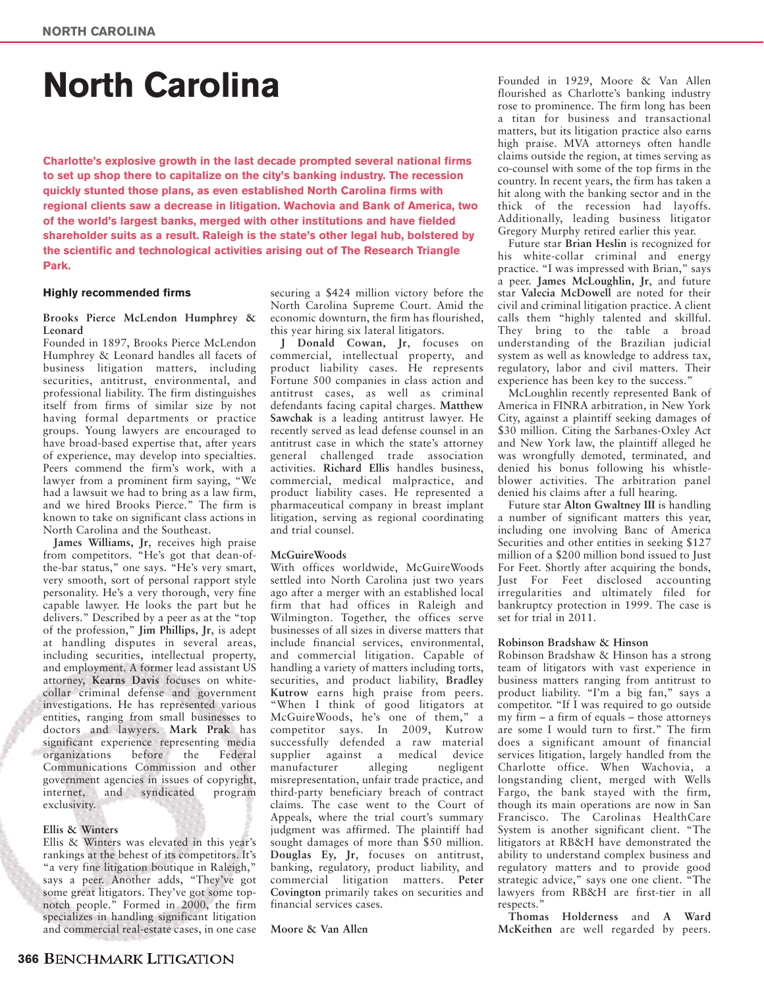## **North Carolina**

**Charlotte's explosive growth in the last decade prompted several national firms to set up shop there to capitalize on the city's banking industry. The recession quickly stunted those plans, as even established North Carolina firms with regional clients saw a decrease in litigation. Wachovia and Bank of America, two of the world's largest banks, merged with other institutions and have fielded shareholder suits as a result. Raleigh is the state's other legal hub, bolstered by the scientific and technological activities arising out of The Research Triangle Park.**

#### **Highly recommended firms**

#### **Brooks Pierce McLendon Humphrey & Leonard**

Founded in 1897, Brooks Pierce McLendon Humphrey & Leonard handles all facets of business litigation matters, including securities, antitrust, environmental, and professional liability. The firm distinguishes itself from firms of similar size by not having formal departments or practice groups. Young lawyers are encouraged to have broad-based expertise that, after years of experience, may develop into specialties. Peers commend the firm's work, with a lawyer from a prominent firm saying, "We had a lawsuit we had to bring as a law firm, and we hired Brooks Pierce." The firm is known to take on significant class actions in North Carolina and the Southeast.

**James Williams, Jr**, receives high praise from competitors. "He's got that dean-ofthe-bar status," one says. "He's very smart, very smooth, sort of personal rapport style personality. He's a very thorough, very fine capable lawyer. He looks the part but he delivers." Described by a peer as at the "top of the profession," **Jim Phillips, Jr**, is adept at handling disputes in several areas, including securities, intellectual property, and employment. A former lead assistant US attorney, **Kearns Davis** focuses on whitecollar criminal defense and government investigations. He has represented various entities, ranging from small businesses to doctors and lawyers. **Mark Prak** has significant experience representing media<br>organizations before the Federal before the Federal Communications Commission and other government agencies in issues of copyright, internet, and syndicated program exclusivity.

#### **Ellis & Winters**

Ellis & Winters was elevated in this year's rankings at the behest of its competitors. It's "a very fine litigation boutique in Raleigh," says a peer. Another adds, "They've got some great litigators. They've got some topnotch people." Formed in 2000, the firm specializes in handling significant litigation and commercial real-estate cases, in one case securing a \$424 million victory before the North Carolina Supreme Court. Amid the economic downturn, the firm has flourished, this year hiring six lateral litigators.

**J Donald Cowan, Jr**, focuses on commercial, intellectual property, and product liability cases. He represents Fortune 500 companies in class action and antitrust cases, as well as criminal defendants facing capital charges. **Matthew Sawchak** is a leading antitrust lawyer. He recently served as lead defense counsel in an antitrust case in which the state's attorney general challenged trade association activities. **Richard Ellis** handles business, commercial, medical malpractice, and product liability cases. He represented a pharmaceutical company in breast implant litigation, serving as regional coordinating and trial counsel.

#### **McGuireWoods**

With offices worldwide, McGuireWoods settled into North Carolina just two years ago after a merger with an established local firm that had offices in Raleigh and Wilmington. Together, the offices serve businesses of all sizes in diverse matters that include financial services, environmental, and commercial litigation. Capable of handling a variety of matters including torts, securities, and product liability, **Bradley Kutrow** earns high praise from peers. "When I think of good litigators at McGuireWoods, he's one of them," a competitor says. In 2009, Kutrow successfully defended a raw material supplier against a medical device<br>manufacturer alleging negligent manufacturer alleging negligent misrepresentation, unfair trade practice, and third-party beneficiary breach of contract claims. The case went to the Court of Appeals, where the trial court's summary judgment was affirmed. The plaintiff had sought damages of more than \$50 million. **Douglas Ey, Jr**, focuses on antitrust, banking, regulatory, product liability, and commercial litigation matters. **Peter Covington** primarily takes on securities and financial services cases.

**Moore & Van Allen**

Founded in 1929, Moore & Van Allen flourished as Charlotte's banking industry rose to prominence. The firm long has been a titan for business and transactional matters, but its litigation practice also earns high praise. MVA attorneys often handle claims outside the region, at times serving as co-counsel with some of the top firms in the country. In recent years, the firm has taken a hit along with the banking sector and in the thick of the recession had layoffs. Additionally, leading business litigator Gregory Murphy retired earlier this year.

Future star **Brian Heslin** is recognized for his white-collar criminal and energy practice. "I was impressed with Brian," says a peer. **James McLoughlin, Jr**, and future star **Valecia McDowell** are noted for their civil and criminal litigation practice. A client calls them "highly talented and skillful. They bring to the table a broad understanding of the Brazilian judicial system as well as knowledge to address tax, regulatory, labor and civil matters. Their experience has been key to the success."

McLoughlin recently represented Bank of America in FINRA arbitration, in New York City, against a plaintiff seeking damages of \$30 million. Citing the Sarbanes-Oxley Act and New York law, the plaintiff alleged he was wrongfully demoted, terminated, and denied his bonus following his whistleblower activities. The arbitration panel denied his claims after a full hearing.

Future star **Alton Gwaltney III** is handling a number of significant matters this year, including one involving Banc of America Securities and other entities in seeking \$127 million of a \$200 million bond issued to Just For Feet. Shortly after acquiring the bonds, Just For Feet disclosed accounting irregularities and ultimately filed for bankruptcy protection in 1999. The case is set for trial in 2011.

#### **Robinson Bradshaw & Hinson**

Robinson Bradshaw & Hinson has a strong team of litigators with vast experience in business matters ranging from antitrust to product liability. "I'm a big fan," says a competitor. "If I was required to go outside my firm – a firm of equals – those attorneys are some I would turn to first." The firm does a significant amount of financial services litigation, largely handled from the Charlotte office. When Wachovia, a longstanding client, merged with Wells Fargo, the bank stayed with the firm, though its main operations are now in San Francisco. The Carolinas HealthCare System is another significant client. "The litigators at RB&H have demonstrated the ability to understand complex business and regulatory matters and to provide good strategic advice," says one one client. "The lawyers from RB&H are first-tier in all respects."

**Thomas Holderness** and **A Ward McKeithen** are well regarded by peers.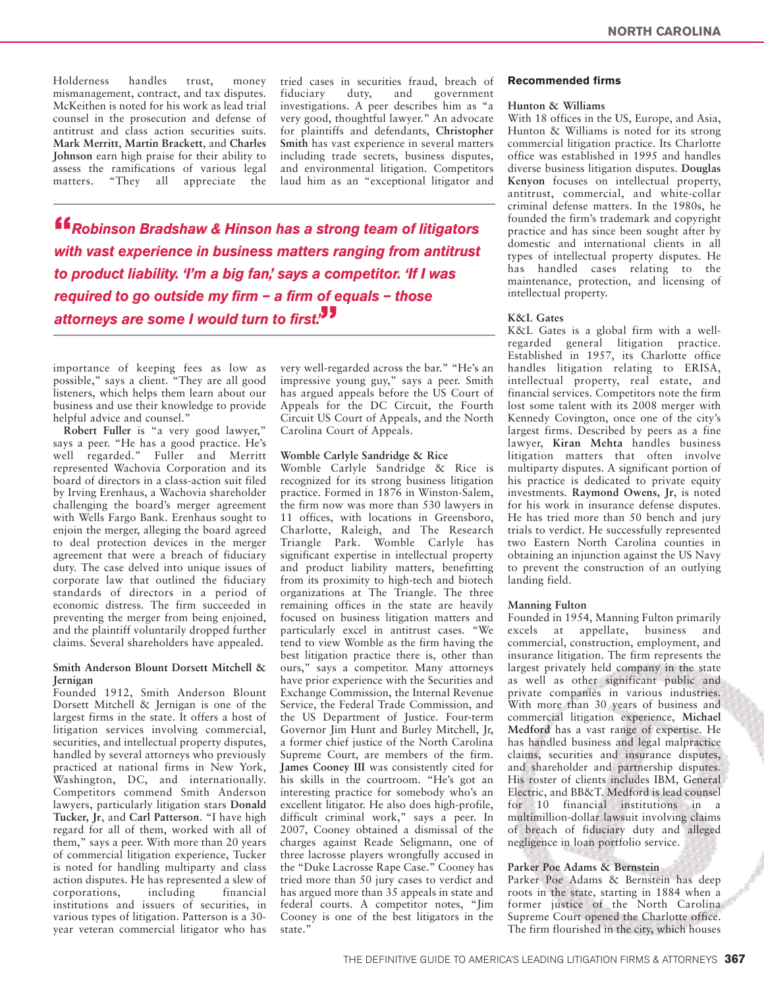Holderness handles trust, money mismanagement, contract, and tax disputes. McKeithen is noted for his work as lead trial counsel in the prosecution and defense of antitrust and class action securities suits. **Mark Merritt**, **Martin Brackett**, and **Charles Johnson** earn high praise for their ability to assess the ramifications of various legal matters. "They all appreciate the

tried cases in securities fraud, breach of<br>fiduciary duty, and government fiduciary duty, and investigations. A peer describes him as "a very good, thoughtful lawyer." An advocate for plaintiffs and defendants, **Christopher Smith** has vast experience in several matters including trade secrets, business disputes, and environmental litigation. Competitors laud him as an "exceptional litigator and

**"***Robinson Bradshaw & Hinson has a strong team of litigators with vast experience in business matters ranging from antitrust to product liability. 'I'm a big fan,' says a competitor. 'If I was required to go outside my firm – a firm of equals – those attorneys are some I would turn to first.'***"**

importance of keeping fees as low as possible," says a client. "They are all good listeners, which helps them learn about our business and use their knowledge to provide helpful advice and counsel."

**Robert Fuller** is "a very good lawyer," says a peer. "He has a good practice. He's well regarded." Fuller and Merritt represented Wachovia Corporation and its board of directors in a class-action suit filed by Irving Erenhaus, a Wachovia shareholder challenging the board's merger agreement with Wells Fargo Bank. Erenhaus sought to enjoin the merger, alleging the board agreed to deal protection devices in the merger agreement that were a breach of fiduciary duty. The case delved into unique issues of corporate law that outlined the fiduciary standards of directors in a period of economic distress. The firm succeeded in preventing the merger from being enjoined, and the plaintiff voluntarily dropped further claims. Several shareholders have appealed.

#### **Smith Anderson Blount Dorsett Mitchell & Jernigan**

Founded 1912, Smith Anderson Blount Dorsett Mitchell & Jernigan is one of the largest firms in the state. It offers a host of litigation services involving commercial, securities, and intellectual property disputes, handled by several attorneys who previously practiced at national firms in New York, Washington, DC, and internationally. Competitors commend Smith Anderson lawyers, particularly litigation stars **Donald Tucker, Jr**, and **Carl Patterson**. "I have high regard for all of them, worked with all of them," says a peer. With more than 20 years of commercial litigation experience, Tucker is noted for handling multiparty and class action disputes. He has represented a slew of<br>corporations, including financial corporations, including financial institutions and issuers of securities, in various types of litigation. Patterson is a 30 year veteran commercial litigator who has

very well-regarded across the bar." "He's an impressive young guy," says a peer. Smith has argued appeals before the US Court of Appeals for the DC Circuit, the Fourth Circuit US Court of Appeals, and the North Carolina Court of Appeals.

#### **Womble Carlyle Sandridge & Rice**

Womble Carlyle Sandridge & Rice is recognized for its strong business litigation practice. Formed in 1876 in Winston-Salem, the firm now was more than 530 lawyers in 11 offices, with locations in Greensboro, Charlotte, Raleigh, and The Research Triangle Park. Womble Carlyle has significant expertise in intellectual property and product liability matters, benefitting from its proximity to high-tech and biotech organizations at The Triangle. The three remaining offices in the state are heavily focused on business litigation matters and particularly excel in antitrust cases. "We tend to view Womble as the firm having the best litigation practice there is, other than ours," says a competitor. Many attorneys have prior experience with the Securities and Exchange Commission, the Internal Revenue Service, the Federal Trade Commission, and the US Department of Justice. Four-term Governor Jim Hunt and Burley Mitchell, Jr, a former chief justice of the North Carolina Supreme Court, are members of the firm. **James Cooney III** was consistently cited for his skills in the courtroom. "He's got an interesting practice for somebody who's an excellent litigator. He also does high-profile, difficult criminal work," says a peer. In 2007, Cooney obtained a dismissal of the charges against Reade Seligmann, one of three lacrosse players wrongfully accused in the "Duke Lacrosse Rape Case." Cooney has tried more than 50 jury cases to verdict and has argued more than 35 appeals in state and federal courts. A competitor notes, "Jim Cooney is one of the best litigators in the state."

#### **Recommended firms**

#### **Hunton & Williams**

With 18 offices in the US, Europe, and Asia, Hunton & Williams is noted for its strong commercial litigation practice. Its Charlotte office was established in 1995 and handles diverse business litigation disputes. **Douglas Kenyon** focuses on intellectual property, antitrust, commercial, and white-collar criminal defense matters. In the 1980s, he founded the firm's trademark and copyright practice and has since been sought after by domestic and international clients in all types of intellectual property disputes. He has handled cases relating to the maintenance, protection, and licensing of intellectual property.

#### **K&L Gates**

K&L Gates is a global firm with a wellregarded general litigation practice. Established in 1957, its Charlotte office handles litigation relating to ERISA, intellectual property, real estate, and financial services. Competitors note the firm lost some talent with its 2008 merger with Kennedy Covington, once one of the city's largest firms. Described by peers as a fine lawyer, **Kiran Mehta** handles business litigation matters that often involve multiparty disputes. A significant portion of his practice is dedicated to private equity investments. **Raymond Owens, Jr**, is noted for his work in insurance defense disputes. He has tried more than 50 bench and jury trials to verdict. He successfully represented two Eastern North Carolina counties in obtaining an injunction against the US Navy to prevent the construction of an outlying landing field.

#### **Manning Fulton**

Founded in 1954, Manning Fulton primarily excels at appellate, business and commercial, construction, employment, and insurance litigation. The firm represents the largest privately held company in the state as well as other significant public and private companies in various industries. With more than 30 years of business and commercial litigation experience, **Michael Medford** has a vast range of expertise. He has handled business and legal malpractice claims, securities and insurance disputes, and shareholder and partnership disputes. His roster of clients includes IBM, General Electric, and BB&T. Medford is lead counsel for 10 financial institutions in a multimillion-dollar lawsuit involving claims of breach of fiduciary duty and alleged negligence in loan portfolio service.

#### **Parker Poe Adams & Bernstein**

Parker Poe Adams & Bernstein has deep roots in the state, starting in 1884 when a former justice of the North Carolina Supreme Court opened the Charlotte office. The firm flourished in the city, which houses